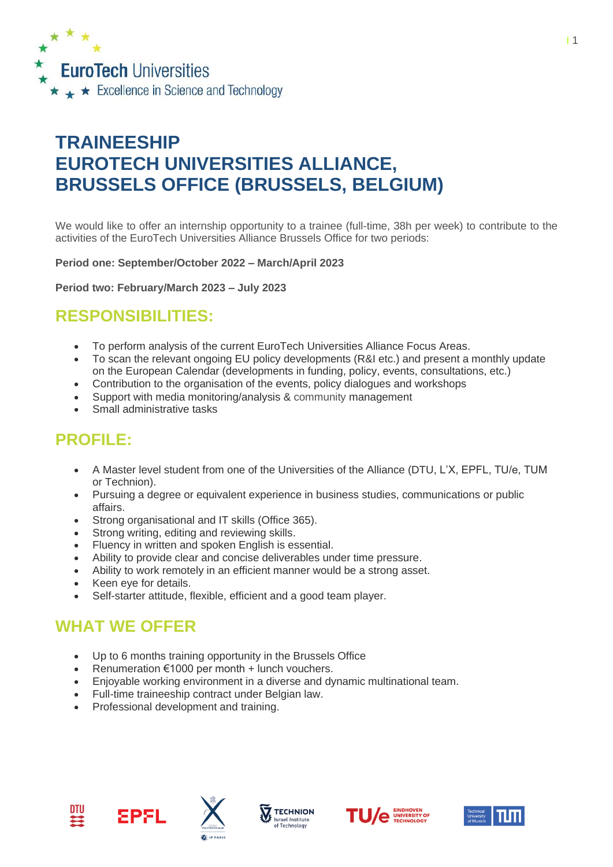

# **TRAINEESHIP EUROTECH UNIVERSITIES ALLIANCE, BRUSSELS OFFICE (BRUSSELS, BELGIUM)**

We would like to offer an internship opportunity to a trainee (full-time, 38h per week) to contribute to the activities of the EuroTech Universities Alliance Brussels Office for two periods:

**Period one: September/October 2022 – March/April 2023**

**Period two: February/March 2023 – July 2023** 

#### **RESPONSIBILITIES:**

- To perform analysis of the current EuroTech Universities Alliance Focus Areas.
- To scan the relevant ongoing EU policy developments (R&I etc.) and present a monthly update on the European Calendar (developments in funding, policy, events, consultations, etc.)
- Contribution to the organisation of the events, policy dialogues and workshops
- Support with media monitoring/analysis & community management
- Small administrative tasks

## **PROFILE:**

- A Master level student from one of the Universities of the Alliance (DTU, L'X, EPFL, TU/e, TUM or Technion).
- Pursuing a degree or equivalent experience in business studies, communications or public affairs.
- Strong organisational and IT skills (Office 365).
- Strong writing, editing and reviewing skills.
- Fluency in written and spoken English is essential.
- Ability to provide clear and concise deliverables under time pressure.
- Ability to work remotely in an efficient manner would be a strong asset.
- Keen eve for details.
- Self-starter attitude, flexible, efficient and a good team player.

### **WHAT WE OFFER**

EPFL

- Up to 6 months training opportunity in the Brussels Office
- Renumeration €1000 per month + lunch vouchers.
- Enjoyable working environment in a diverse and dynamic multinational team.
- Full-time traineeship contract under Belgian law.
- Professional development and training.